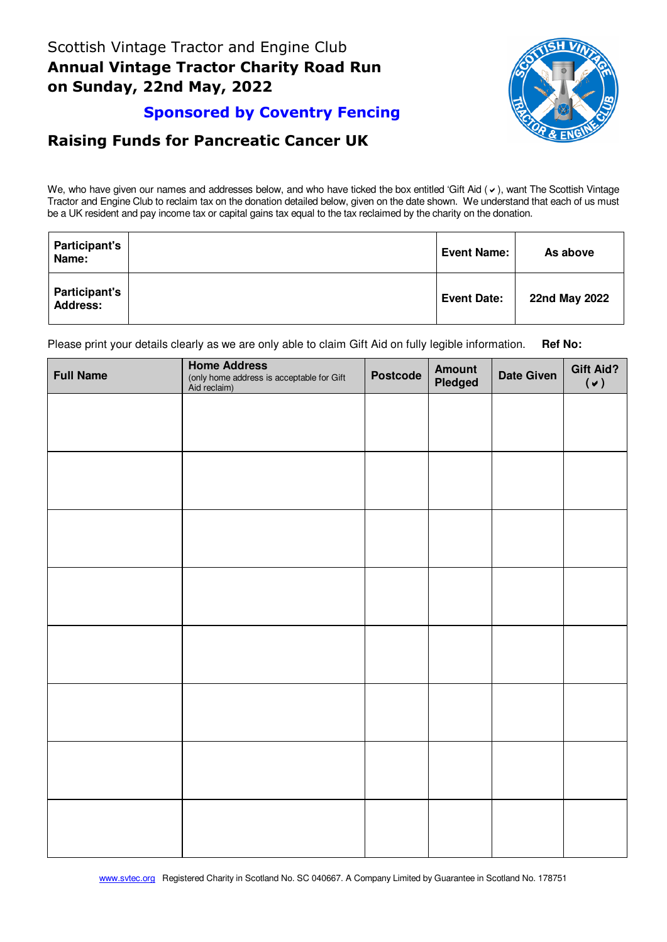

## **Sponsored by Coventry Fencing**

## **Raising Funds for Pancreatic Cancer UK**

We, who have given our names and addresses below, and who have ticked the box entitled 'Gift Aid  $($   $\vee$ ), want The Scottish Vintage Tractor and Engine Club to reclaim tax on the donation detailed below, given on the date shown. We understand that each of us must be a UK resident and pay income tax or capital gains tax equal to the tax reclaimed by the charity on the donation.

| <b>Participant's</b><br>Name:           | <b>Event Name:</b> | As above      |
|-----------------------------------------|--------------------|---------------|
| <b>Participant's</b><br><b>Address:</b> | <b>Event Date:</b> | 22nd May 2022 |

Please print your details clearly as we are only able to claim Gift Aid on fully legible information. **Ref No:** 

| <b>Full Name</b> | <b>Home Address</b><br>(only home address is acceptable for Gift<br>Aid reclaim) | <b>Postcode</b> | Amount<br>Pledged | <b>Date Given</b> | <b>Gift Aid?</b><br>$(\vee)$ |
|------------------|----------------------------------------------------------------------------------|-----------------|-------------------|-------------------|------------------------------|
|                  |                                                                                  |                 |                   |                   |                              |
|                  |                                                                                  |                 |                   |                   |                              |
|                  |                                                                                  |                 |                   |                   |                              |
|                  |                                                                                  |                 |                   |                   |                              |
|                  |                                                                                  |                 |                   |                   |                              |
|                  |                                                                                  |                 |                   |                   |                              |
|                  |                                                                                  |                 |                   |                   |                              |
|                  |                                                                                  |                 |                   |                   |                              |
|                  |                                                                                  |                 |                   |                   |                              |
|                  |                                                                                  |                 |                   |                   |                              |
|                  |                                                                                  |                 |                   |                   |                              |
|                  |                                                                                  |                 |                   |                   |                              |
|                  |                                                                                  |                 |                   |                   |                              |
|                  |                                                                                  |                 |                   |                   |                              |
|                  |                                                                                  |                 |                   |                   |                              |
|                  |                                                                                  |                 |                   |                   |                              |